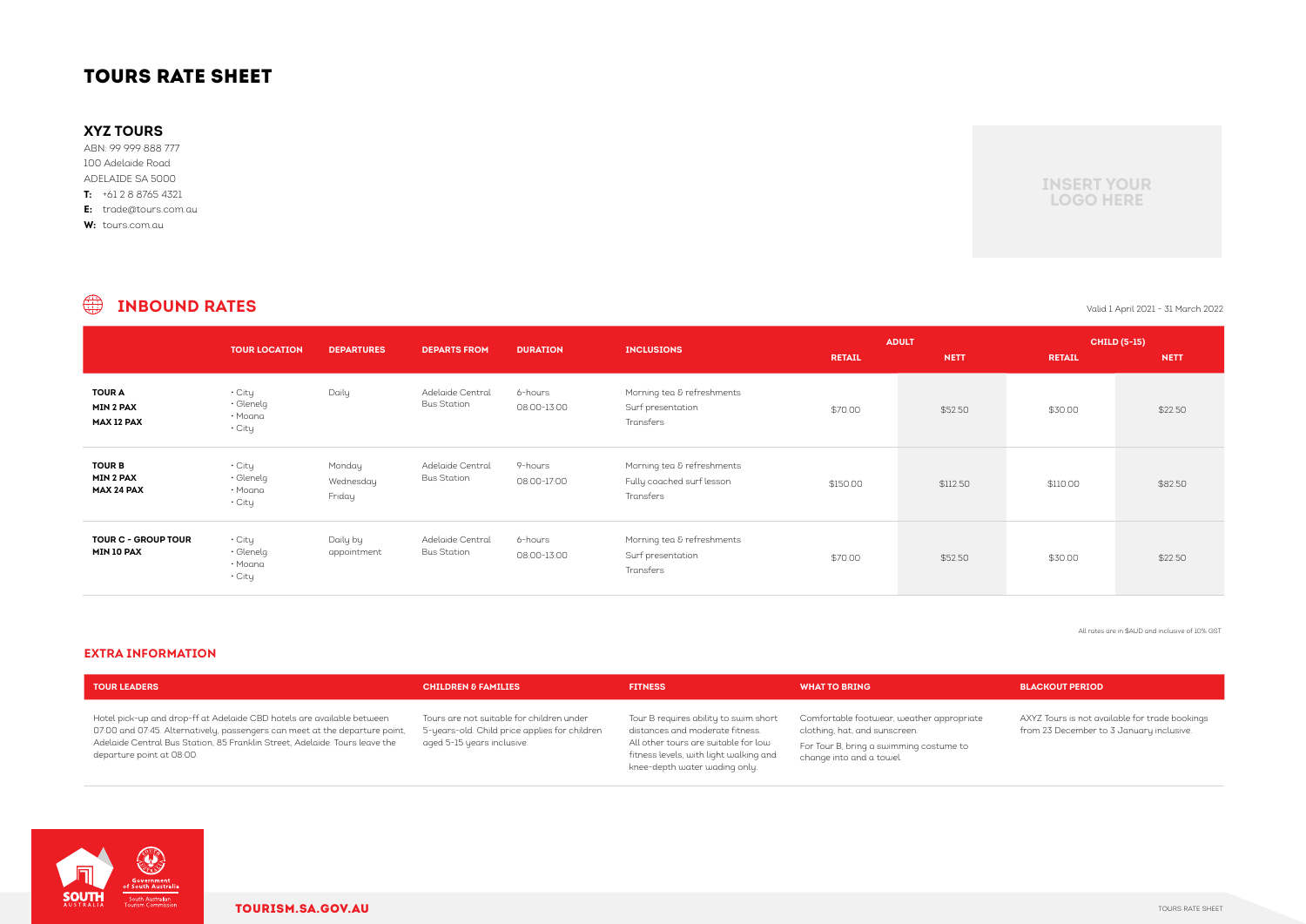# TOURS RATE SHEET

|                                                        | <b>TOUR LOCATION</b>                           | <b>DEPARTURES</b>             | <b>DEPARTS FROM</b>                    | <b>DURATION</b>        | <b>INCLUSIONS</b>                                                    | <b>RETAIL</b> | <b>ADULT</b><br><b>NETT</b> | <b>RETAIL</b> | <b>CHILD (5-15)</b><br><b>NETT</b> |
|--------------------------------------------------------|------------------------------------------------|-------------------------------|----------------------------------------|------------------------|----------------------------------------------------------------------|---------------|-----------------------------|---------------|------------------------------------|
| <b>TOUR A</b><br><b>MIN 2 PAX</b><br><b>MAX 12 PAX</b> | • City<br>$\cdot$ Glenelg<br>• Moana<br>• City | Daily                         | Adelaide Central<br><b>Bus Station</b> | 6-hours<br>08:00-13:00 | Morning tea & refreshments<br>Surf presentation<br>Transfers         | \$70.00       | \$52.50                     | \$30.00       | \$22.50                            |
| <b>TOUR B</b><br><b>MIN 2 PAX</b><br><b>MAX 24 PAX</b> | • City<br>· Glenelg<br>• Moana<br>• City       | Monday<br>Wednesday<br>Friday | Adelaide Central<br><b>Bus Station</b> | 9-hours<br>08:00-17:00 | Morning tea & refreshments<br>Fully coached surf lesson<br>Transfers | \$150.00      | \$112.50                    | \$110.00      | \$82.50                            |
| <b>TOUR C - GROUP TOUR</b><br>MIN 10 PAX               | • City<br>• Glenelg<br>• Moana<br>• City       | Daily by<br>appointment       | Adelaide Central<br><b>Bus Station</b> | 6-hours<br>08:00-13:00 | Morning tea & refreshments<br>Surf presentation<br>Transfers         | \$70.00       | \$52.50                     | \$30.00       | \$22.50                            |

### $\bigoplus$ **INBOUND RATES** Valid 1 April 2021 - 31 March 2022

| <b>TOUR LEADERS</b>                                                                                                                                                                                                                                               | <b>CHILDREN &amp; FAMILIES</b>                                                                                           | <b>FITNESS</b>                                                                                                                                                                              | <b>WHAT TO BRING</b>                                                                                                                              | <b>BLACKOUT PERIOD</b>                     |
|-------------------------------------------------------------------------------------------------------------------------------------------------------------------------------------------------------------------------------------------------------------------|--------------------------------------------------------------------------------------------------------------------------|---------------------------------------------------------------------------------------------------------------------------------------------------------------------------------------------|---------------------------------------------------------------------------------------------------------------------------------------------------|--------------------------------------------|
| Hotel pick-up and drop-ff at Adelaide CBD hotels are available between<br>07:00 and 07:45. Alternatively, passengers can meet at the departure point,<br>Adelaide Central Bus Station, 85 Franklin Street, Adelaide. Tours leave the<br>departure point at 08:00. | Tours are not suitable for children under<br>5-years-old. Child price applies for children<br>aged 5-15 years inclusive. | Tour B requires ability to swim short<br>distances and moderate fitness.<br>All other tours are suitable for low<br>fitness levels, with light walking and<br>knee-depth water wading only. | Comfortable footwear, weather appropriate<br>clothing, hat, and sunscreen.<br>For Tour B, bring a swimming costume to<br>change into and a towel. | AXYZ Tours is not av<br>from 23 December t |



AXYZ Tours is not available for trade bookings from 23 December to 3 January inclusive.

### **EXTRA INFORMATION**

## **XYZ TOURS**

ABN: 99 999 888 777 100 Adelaide Road ADELAIDE SA 5000 **T:** +61 2 8 8765 4321

**E:** trade@tours.com.au

**W:** tours.com.au

All rates are in \$AUD and inclusive of 10% GST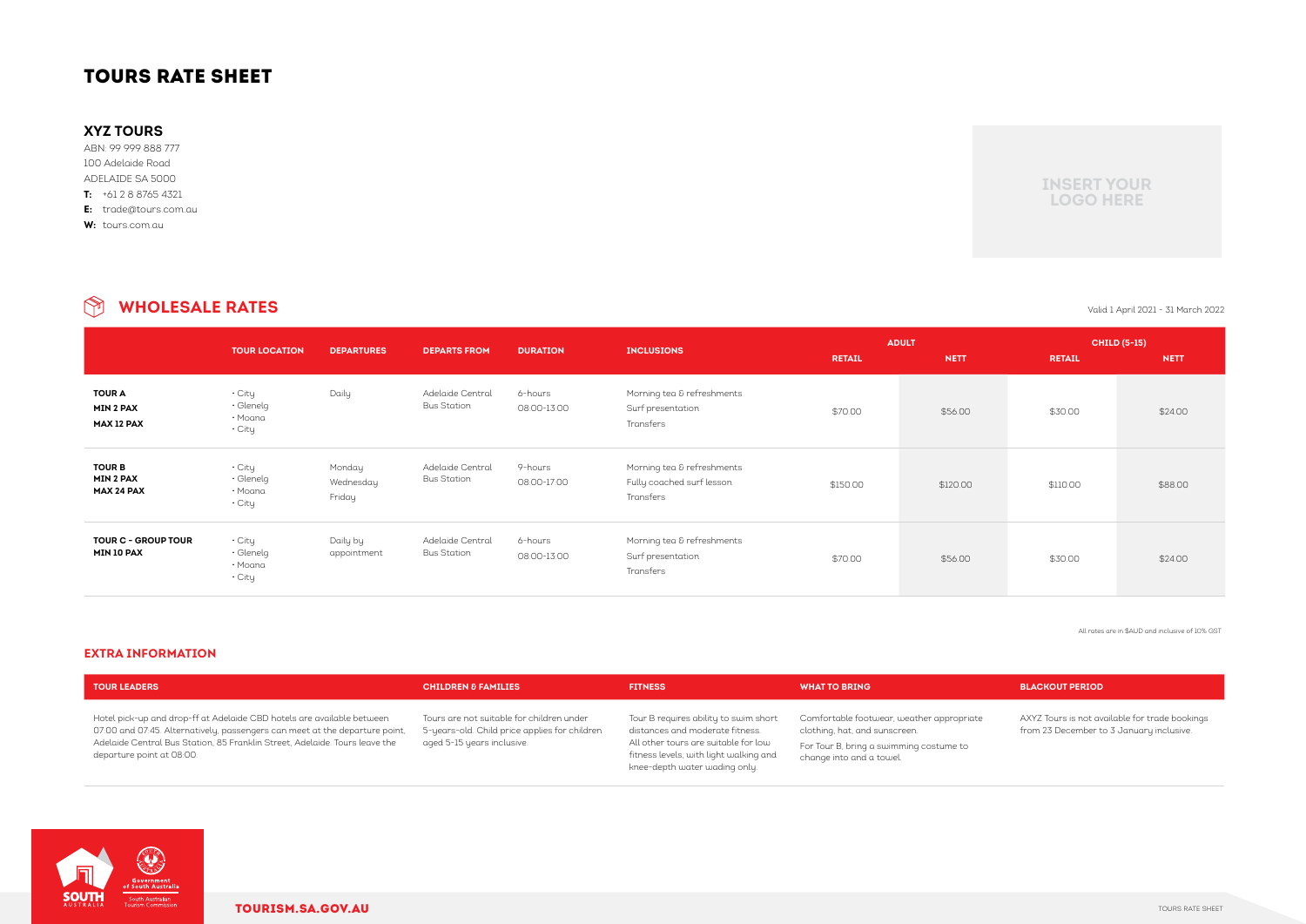### **WHOLESALE RATES** Valid 1 April 2021 - 31 March 2022  $\circledR$

|                                                        | <b>TOUR LOCATION</b>                                       | <b>DEPARTURES</b>             | <b>DEPARTS FROM</b>                    | <b>DURATION</b>        | <b>INCLUSIONS</b>                                                    | <b>RETAIL</b> | <b>ADULT</b><br><b>NETT</b> | <b>RETAIL</b> | <b>CHILD (5-15)</b><br><b>NETT</b> |
|--------------------------------------------------------|------------------------------------------------------------|-------------------------------|----------------------------------------|------------------------|----------------------------------------------------------------------|---------------|-----------------------------|---------------|------------------------------------|
| <b>TOUR A</b><br><b>MIN 2 PAX</b><br><b>MAX 12 PAX</b> | $\cdot$ City<br>$\cdot$ Glenelg<br>• Moana<br>$\cdot$ City | Daily                         | Adelaide Central<br><b>Bus Station</b> | 6-hours<br>08:00-13:00 | Morning tea & refreshments<br>Surf presentation<br>Transfers         | \$70.00       | \$56.00                     | \$30.00       | \$24.00                            |
| <b>TOUR B</b><br><b>MIN 2 PAX</b><br><b>MAX 24 PAX</b> | $\cdot$ City<br>$\cdot$ Glenelg<br>• Moana<br>$\cdot$ City | Monday<br>Wednesday<br>Friday | Adelaide Central<br><b>Bus Station</b> | 9-hours<br>08:00-17:00 | Morning tea & refreshments<br>Fully coached surf lesson<br>Transfers | \$150.00      | \$120.00                    | \$110.00      | \$88.00                            |
| <b>TOUR C - GROUP TOUR</b><br><b>MIN 10 PAX</b>        | • City<br>$\cdot$ Glenelg<br>• Moana<br>$\cdot$ City       | Daily by<br>appointment       | Adelaide Central<br><b>Bus Station</b> | 6-hours<br>08:00-13:00 | Morning tea & refreshments<br>Surf presentation<br>Transfers         | \$70.00       | \$56.00                     | \$30.00       | \$24.00                            |

### **EXTRA INFORMATION**

All rates are in \$AUD and inclusive of 10% GST

| <b>TOUR LEADERS</b>                                                                                                                                                                                                                                               | <b>CHILDREN &amp; FAMILIES</b>                                                                                           | <b>FITNESS</b>                                                                                                                                                                              | <b>WHAT TO BRING</b>                                                                                                                              | <b>BLACKOUT PERIOD</b>                     |
|-------------------------------------------------------------------------------------------------------------------------------------------------------------------------------------------------------------------------------------------------------------------|--------------------------------------------------------------------------------------------------------------------------|---------------------------------------------------------------------------------------------------------------------------------------------------------------------------------------------|---------------------------------------------------------------------------------------------------------------------------------------------------|--------------------------------------------|
| Hotel pick-up and drop-ff at Adelaide CBD hotels are available between<br>07:00 and 07:45. Alternatively, passengers can meet at the departure point,<br>Adelaide Central Bus Station, 85 Franklin Street, Adelaide. Tours leave the<br>departure point at 08:00. | Tours are not suitable for children under<br>5-years-old. Child price applies for children<br>aged 5-15 years inclusive. | Tour B requires ability to swim short<br>distances and moderate fitness.<br>All other tours are suitable for low<br>fitness levels, with light walking and<br>knee-depth water wading only. | Comfortable footwear, weather appropriate<br>clothing, hat, and sunscreen.<br>For Tour B, bring a swimming costume to<br>change into and a towel. | AXYZ Tours is not av<br>from 23 December t |



AXYZ Tours is not available for trade bookings from 23 December to 3 January inclusive.

# TOURS RATE SHEET

## **XYZ TOURS**

ABN: 99 999 888 777 100 Adelaide Road ADELAIDE SA 5000 **T:** +61 2 8 8765 4321

**E:** trade@tours.com.au

**W:** tours.com.au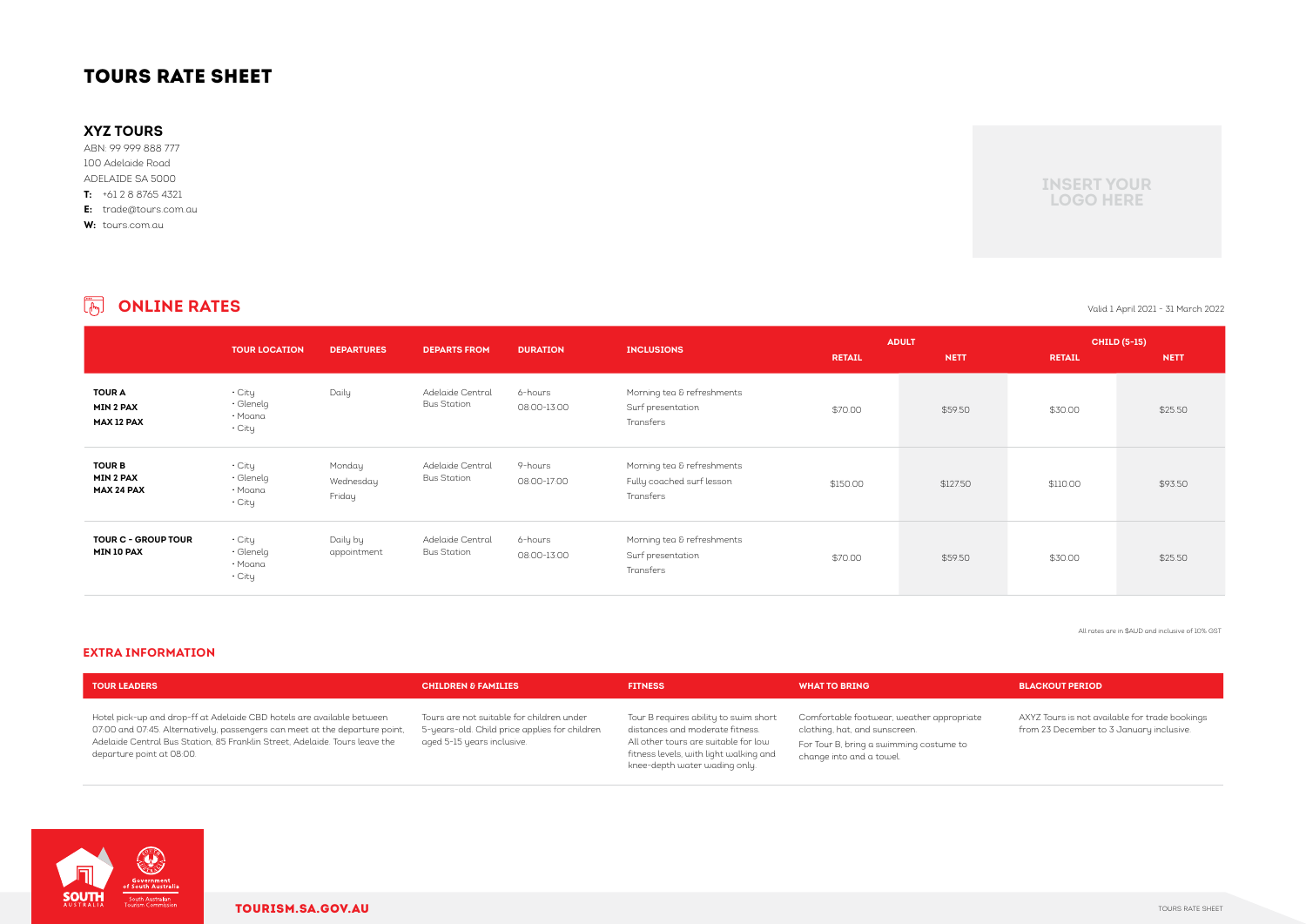|                                                 | <b>TOUR LOCATION</b>                           | <b>DEPARTURES</b>             | <b>DEPARTS FROM</b>                    | <b>DURATION</b>        | <b>INCLUSIONS</b>                                                    | <b>RETAIL</b> | <b>ADULT</b><br><b>NETT</b> | <b>RETAIL</b> | <b>CHILD (5-15)</b><br><b>NETT</b> |
|-------------------------------------------------|------------------------------------------------|-------------------------------|----------------------------------------|------------------------|----------------------------------------------------------------------|---------------|-----------------------------|---------------|------------------------------------|
| <b>TOUR A</b><br><b>MIN 2 PAX</b><br>MAX 12 PAX | • City<br>$\cdot$ Glenelg<br>• Moana<br>• City | Daily                         | Adelaide Central<br><b>Bus Station</b> | 6-hours<br>08:00-13:00 | Morning tea & refreshments<br>Surf presentation<br>Transfers         | \$70.00       | \$59.50                     | \$30.00       | \$25.50                            |
| <b>TOUR B</b><br><b>MIN 2 PAX</b><br>MAX 24 PAX | • City<br>$\cdot$ Glenelg<br>• Moana<br>• City | Monday<br>Wednesday<br>Friday | Adelaide Central<br><b>Bus Station</b> | 9-hours<br>08:00-17:00 | Morning tea & refreshments<br>Fully coached surf lesson<br>Transfers | \$150.00      | \$127.50                    | \$110.00      | \$93.50                            |
| <b>TOUR C - GROUP TOUR</b><br>MIN 10 PAX        | • City<br>$\cdot$ Glenelg<br>• Moana<br>• City | Daily by<br>appointment       | Adelaide Central<br><b>Bus Station</b> | 6-hours<br>08:00-13:00 | Morning tea & refreshments<br>Surf presentation<br>Transfers         | \$70.00       | \$59.50                     | \$30.00       | \$25.50                            |

### **EXTRA INFORMATION**

### **ONLINE RATES** Valid 1 April 2021 - 31 March 2022

All rates are in \$AUD and inclusive of 10% GST

| <b>TOUR LEADERS</b>                                                                                                                                                                                                                                               | <b>CHILDREN &amp; FAMILIES</b>                                                                                           | <b>FITNESS</b>                                                                                                                                                                              | <b>WHAT TO BRING</b>                                                                                                                              | <b>BLACKOUT PERIOD</b>                     |
|-------------------------------------------------------------------------------------------------------------------------------------------------------------------------------------------------------------------------------------------------------------------|--------------------------------------------------------------------------------------------------------------------------|---------------------------------------------------------------------------------------------------------------------------------------------------------------------------------------------|---------------------------------------------------------------------------------------------------------------------------------------------------|--------------------------------------------|
| Hotel pick-up and drop-ff at Adelaide CBD hotels are available between<br>07:00 and 07:45. Alternatively, passengers can meet at the departure point,<br>Adelaide Central Bus Station, 85 Franklin Street, Adelaide. Tours leave the<br>departure point at 08:00. | Tours are not suitable for children under<br>5-years-old. Child price applies for children<br>aged 5-15 years inclusive. | Tour B requires ability to swim short<br>distances and moderate fitness.<br>All other tours are suitable for low<br>fitness levels, with light walking and<br>knee-depth water wading only. | Comfortable footwear, weather appropriate<br>clothing, hat, and sunscreen.<br>For Tour B, bring a swimming costume to<br>change into and a towel. | AXYZ Tours is not av<br>from 23 December t |



AXYZ Tours is not available for trade bookings from 23 December to 3 January inclusive.

# TOURS RATE SHEET

## **XYZ TOURS**

ABN: 99 999 888 777 100 Adelaide Road ADELAIDE SA 5000 **T:** +61 2 8 8765 4321

**E:** trade@tours.com.au

**W:** tours.com.au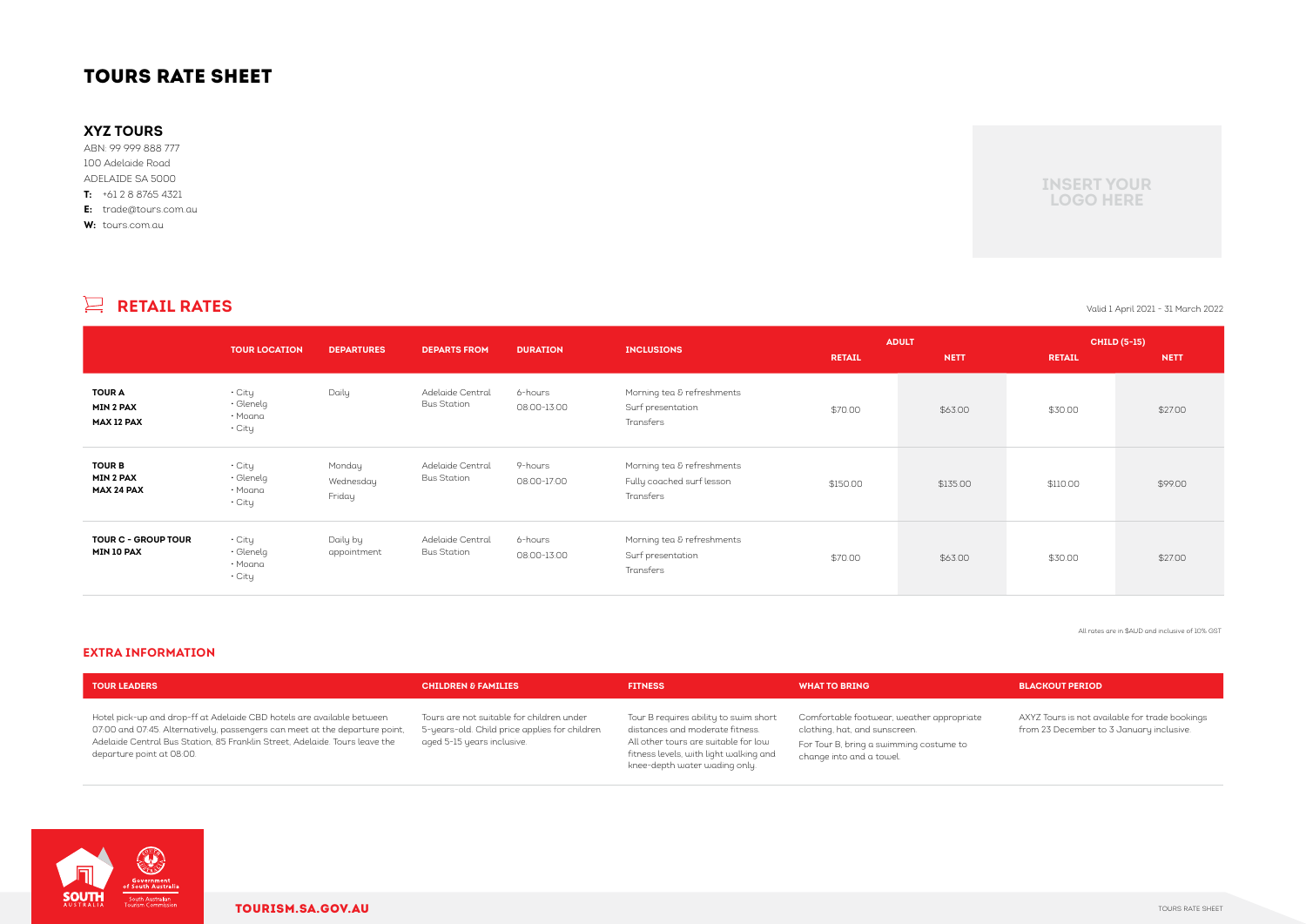|                                                        | <b>TOUR LOCATION</b>                           | <b>DEPARTURES</b>             | <b>DEPARTS FROM</b>                    | <b>DURATION</b>        | <b>INCLUSIONS</b>                                                    | <b>RETAIL</b> | <b>ADULT</b><br><b>NETT</b> | <b>RETAIL</b> | <b>CHILD (5-15)</b><br><b>NETT</b> |
|--------------------------------------------------------|------------------------------------------------|-------------------------------|----------------------------------------|------------------------|----------------------------------------------------------------------|---------------|-----------------------------|---------------|------------------------------------|
| <b>TOUR A</b><br><b>MIN 2 PAX</b><br><b>MAX 12 PAX</b> | • City<br>$\cdot$ Glenelg<br>• Moana<br>• City | Daily                         | Adelaide Central<br><b>Bus Station</b> | 6-hours<br>08:00-13:00 | Morning tea & refreshments<br>Surf presentation<br>Transfers         | \$70.00       | \$63.00                     | \$30.00       | \$27.00                            |
| <b>TOUR B</b><br><b>MIN 2 PAX</b><br><b>MAX 24 PAX</b> | • City<br>$\cdot$ Glenelg<br>• Moana<br>• City | Monday<br>Wednesday<br>Friday | Adelaide Central<br><b>Bus Station</b> | 9-hours<br>08:00-17:00 | Morning tea & refreshments<br>Fully coached surf lesson<br>Transfers | \$150.00      | \$135.00                    | \$110.00      | \$99.00                            |
| <b>TOUR C - GROUP TOUR</b><br><b>MIN 10 PAX</b>        | • City<br>$\cdot$ Glenelg<br>• Moana<br>• City | Daily by<br>appointment       | Adelaide Central<br><b>Bus Station</b> | 6-hours<br>08:00-13:00 | Morning tea & refreshments<br>Surf presentation<br>Transfers         | \$70.00       | \$63.00                     | \$30.00       | \$27.00                            |

### **EXTRA INFORMATION**

# **RETAIL RATES** Valid 1 April 2021 - 31 March 2022

All rates are in \$AUD and inclusive of 10% GST

| <b>TOUR LEADERS</b>                                                                                                                                                                                                                                               | <b>CHILDREN &amp; FAMILIES</b>                                                                                           | <b>FITNESS</b>                                                                                                                                                                              | <b>WHAT TO BRING</b>                                                                                                                              | <b>BLACKOUT PERIOD</b>                     |
|-------------------------------------------------------------------------------------------------------------------------------------------------------------------------------------------------------------------------------------------------------------------|--------------------------------------------------------------------------------------------------------------------------|---------------------------------------------------------------------------------------------------------------------------------------------------------------------------------------------|---------------------------------------------------------------------------------------------------------------------------------------------------|--------------------------------------------|
| Hotel pick-up and drop-ff at Adelaide CBD hotels are available between<br>07:00 and 07:45. Alternatively, passengers can meet at the departure point,<br>Adelaide Central Bus Station, 85 Franklin Street, Adelaide. Tours leave the<br>departure point at 08:00. | Tours are not suitable for children under<br>5-years-old. Child price applies for children<br>aged 5-15 years inclusive. | Tour B requires ability to swim short<br>distances and moderate fitness.<br>All other tours are suitable for low<br>fitness levels, with light walking and<br>knee-depth water wading only. | Comfortable footwear, weather appropriate<br>clothing, hat, and sunscreen.<br>For Tour B, bring a swimming costume to<br>change into and a towel. | AXYZ Tours is not av<br>from 23 December t |



AXYZ Tours is not available for trade bookings from 23 December to 3 January inclusive.

# TOURS RATE SHEET

## **XYZ TOURS**

ABN: 99 999 888 777 100 Adelaide Road ADELAIDE SA 5000 **T:** +61 2 8 8765 4321 **E:** trade@tours.com.au

**W:** tours.com.au